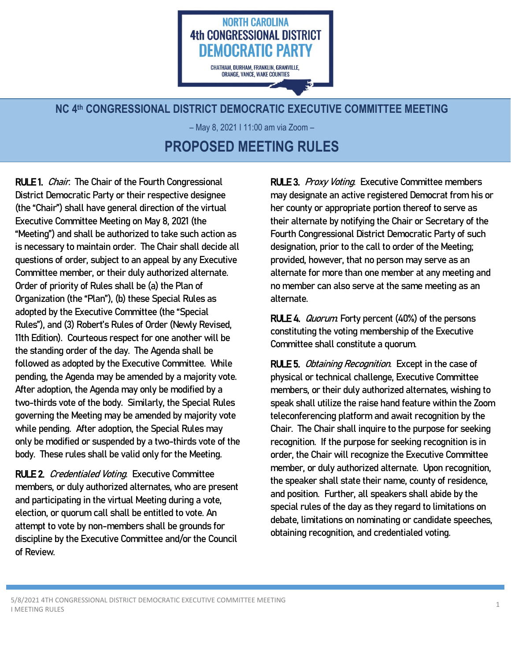

## **NC 4th CONGRESSIONAL DISTRICT DEMOCRATIC EXECUTIVE COMMITTEE MEETING**

– May 8, 2021 I 11:00 am via Zoom – **PROPOSED MEETING RULES**

RULE 1. *Chair*. The Chair of the Fourth Congressional District Democratic Party or their respective designee (the "Chair") shall have general direction of the virtual Executive Committee Meeting on May 8, 2021 (the "Meeting") and shall be authorized to take such action as is necessary to maintain order. The Chair shall decide all questions of order, subject to an appeal by any Executive Committee member, or their duly authorized alternate. Order of priority of Rules shall be (a) the Plan of Organization (the "Plan"), (b) these Special Rules as adopted by the Executive Committee (the "Special Rules"), and (3) Robert's Rules of Order (Newly Revised, 11th Edition). Courteous respect for one another will be the standing order of the day. The Agenda shall be followed as adopted by the Executive Committee. While pending, the Agenda may be amended by a majority vote. After adoption, the Agenda may only be modified by a two-thirds vote of the body. Similarly, the Special Rules governing the Meeting may be amended by majority vote while pending. After adoption, the Special Rules may only be modified or suspended by a two-thirds vote of the body. These rules shall be valid only for the Meeting.

l

RULE 2. Credentialed Voting. Executive Committee members, or duly authorized alternates, who are present and participating in the virtual Meeting during a vote, election, or quorum call shall be entitled to vote. An attempt to vote by non-members shall be grounds for discipline by the Executive Committee and/or the Council of Review.

RULE 3. Proxy Voting. Executive Committee members may designate an active registered Democrat fromhis or her county or appropriate portion thereof to serve as their alternate by notifying the Chair or Secretary of the Fourth Congressional District Democratic Party of such designation, prior to the call to order of the Meeting; provided, however, that no person may serve as an alternate for more than one member at any meeting and no member can also serve at the same meeting as an alternate.

RULE 4. *Quorum* Forty percent (40%) of the persons constituting the voting membership of the Executive Committee shall constitute a quorum.

RULE 5. Obtaining Recognition. Except in the case of physical or technical challenge, Executive Committee members, or their duly authorized alternates, wishing to speak shall utilize the raise hand feature within the Zoom teleconferencing platformand await recognition by the Chair. The Chair shall inquire to the purpose for seeking recognition. If the purpose for seeking recognition is in order, the Chair will recognize the Executive Committee member, or duly authorized alternate. Upon recognition, the speaker shall state their name, county of residence, and position. Further, all speakers shall abide by the special rules of the day as they regard to limitations on debate, limitations on nominating or candidate speeches, obtaining recognition, and credentialed voting.